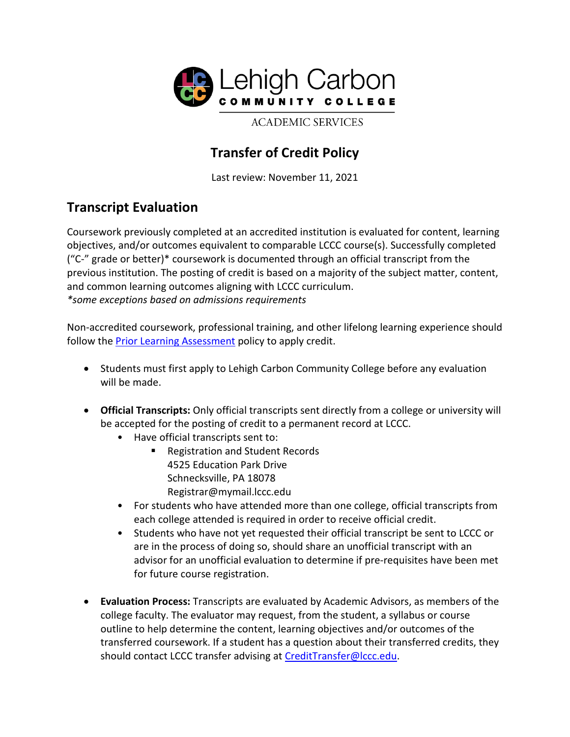

**ACADEMIC SERVICES** 

## **Transfer of Credit Policy**

Last review: November 11, 2021

## **Transcript Evaluation**

Coursework previously completed at an accredited institution is evaluated for content, learning objectives, and/or outcomes equivalent to comparable LCCC course(s). Successfully completed ("C-" grade or better)\* coursework is documented through an official transcript from the previous institution. The posting of credit is based on a majority of the subject matter, content, and common learning outcomes aligning with LCCC curriculum. *\*some exceptions based on admissions requirements*

Non-accredited coursework, professional training, and other lifelong learning experience should follow the [Prior Learning Assessment](https://www.lccc.edu/admissions/prior-learning) policy to apply credit.

- Students must first apply to Lehigh Carbon Community College before any evaluation will be made.
- **Official Transcripts:** Only official transcripts sent directly from a college or university will be accepted for the posting of credit to a permanent record at LCCC.
	- Have official transcripts sent to:
		- Registration and Student Records 4525 Education Park Drive Schnecksville, PA 18078 Registrar@mymail.lccc.edu
	- For students who have attended more than one college, official transcripts from each college attended is required in order to receive official credit.
	- Students who have not yet requested their official transcript be sent to LCCC or are in the process of doing so, should share an unofficial transcript with an advisor for an unofficial evaluation to determine if pre-requisites have been met for future course registration.
- **Evaluation Process:** Transcripts are evaluated by Academic Advisors, as members of the college faculty. The evaluator may request, from the student, a syllabus or course outline to help determine the content, learning objectives and/or outcomes of the transferred coursework. If a student has a question about their transferred credits, they should contact LCCC transfer advising at [CreditTransfer@lccc.edu.](mailto:CreditTransfer@lccc.edu)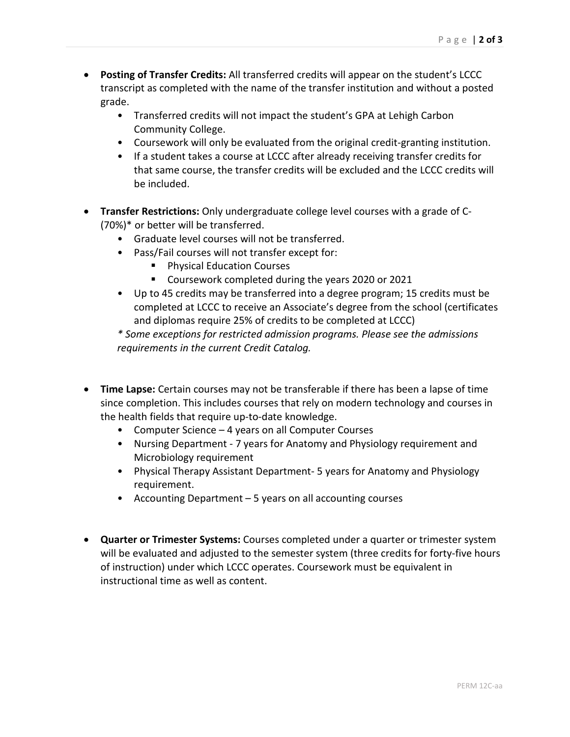- **Posting of Transfer Credits:** All transferred credits will appear on the student's LCCC transcript as completed with the name of the transfer institution and without a posted grade.
	- Transferred credits will not impact the student's GPA at Lehigh Carbon Community College.
	- Coursework will only be evaluated from the original credit-granting institution.
	- If a student takes a course at LCCC after already receiving transfer credits for that same course, the transfer credits will be excluded and the LCCC credits will be included.
- **Transfer Restrictions:** Only undergraduate college level courses with a grade of C- (70%)\* or better will be transferred.
	- Graduate level courses will not be transferred.
	- Pass/Fail courses will not transfer except for:
		- **Physical Education Courses**
		- **Coursework completed during the years 2020 or 2021**
	- Up to 45 credits may be transferred into a degree program; 15 credits must be completed at LCCC to receive an Associate's degree from the school (certificates and diplomas require 25% of credits to be completed at LCCC)

*\* Some exceptions for restricted admission programs. Please see the admissions requirements in the current Credit Catalog.*

- **Time Lapse:** Certain courses may not be transferable if there has been a lapse of time since completion. This includes courses that rely on modern technology and courses in the health fields that require up-to-date knowledge.
	- Computer Science 4 years on all Computer Courses
	- Nursing Department 7 years for Anatomy and Physiology requirement and Microbiology requirement
	- Physical Therapy Assistant Department- 5 years for Anatomy and Physiology requirement.
	- Accounting Department 5 years on all accounting courses
- **Quarter or Trimester Systems:** Courses completed under a quarter or trimester system will be evaluated and adjusted to the semester system (three credits for forty-five hours of instruction) under which LCCC operates. Coursework must be equivalent in instructional time as well as content.